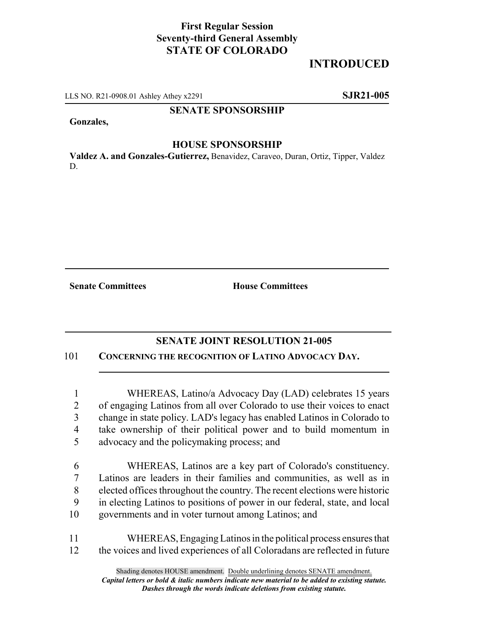## **First Regular Session Seventy-third General Assembly STATE OF COLORADO**

# **INTRODUCED**

LLS NO. R21-0908.01 Ashley Athey x2291 **SJR21-005**

#### **SENATE SPONSORSHIP**

**Gonzales,**

#### **HOUSE SPONSORSHIP**

**Valdez A. and Gonzales-Gutierrez,** Benavidez, Caraveo, Duran, Ortiz, Tipper, Valdez D.

**Senate Committees House Committees** 

### **SENATE JOINT RESOLUTION 21-005**

101 **CONCERNING THE RECOGNITION OF LATINO ADVOCACY DAY.**

 WHEREAS, Latino/a Advocacy Day (LAD) celebrates 15 years of engaging Latinos from all over Colorado to use their voices to enact change in state policy. LAD's legacy has enabled Latinos in Colorado to take ownership of their political power and to build momentum in advocacy and the policymaking process; and

 WHEREAS, Latinos are a key part of Colorado's constituency. Latinos are leaders in their families and communities, as well as in elected offices throughout the country. The recent elections were historic in electing Latinos to positions of power in our federal, state, and local governments and in voter turnout among Latinos; and

11 WHEREAS, Engaging Latinos in the political process ensures that 12 the voices and lived experiences of all Coloradans are reflected in future